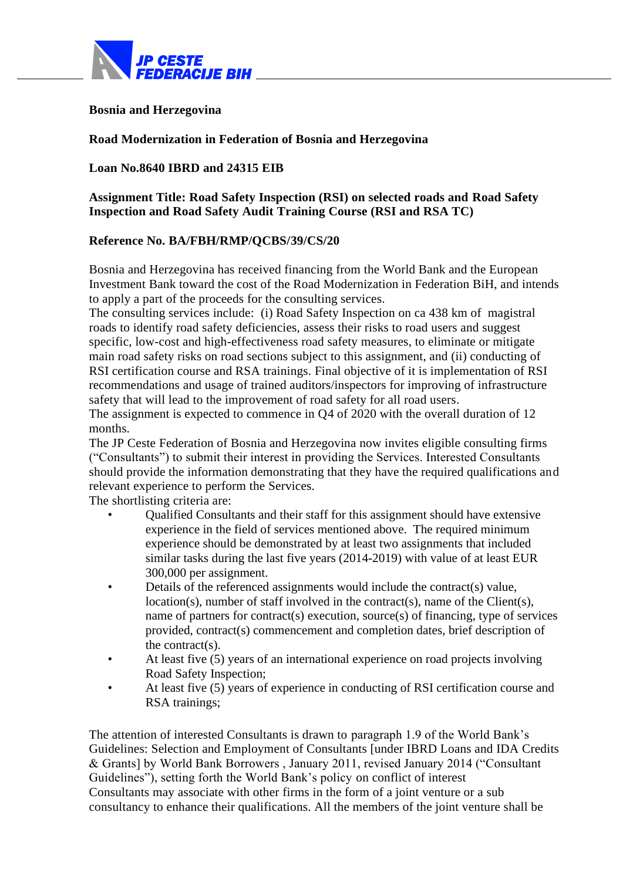

## **Bosnia and Herzegovina**

#### **Road Modernization in Federation of Bosnia and Herzegovina**

## **Loan No.8640 IBRD and 24315 EIB**

**Assignment Title: Road Safety Inspection (RSI) on selected roads and Road Safety Inspection and Road Safety Audit Training Course (RSI and RSA TC)**

#### **Reference No. BA/FBH/RMP/QCBS/39/CS/20**

Bosnia and Herzegovina has received financing from the World Bank and the European Investment Bank toward the cost of the Road Modernization in Federation BiH, and intends to apply a part of the proceeds for the consulting services.

The consulting services include: (i) Road Safety Inspection on ca 438 km of magistral roads to identify road safety deficiencies, assess their risks to road users and suggest specific, low-cost and high-effectiveness road safety measures, to eliminate or mitigate main road safety risks on road sections subject to this assignment, and (ii) conducting of RSI certification course and RSA trainings. Final objective of it is implementation of RSI recommendations and usage of trained auditors/inspectors for improving of infrastructure safety that will lead to the improvement of road safety for all road users.

The assignment is expected to commence in Q4 of 2020 with the overall duration of 12 months.

The JP Ceste Federation of Bosnia and Herzegovina now invites eligible consulting firms ("Consultants") to submit their interest in providing the Services. Interested Consultants should provide the information demonstrating that they have the required qualifications and relevant experience to perform the Services.

The shortlisting criteria are:

- Qualified Consultants and their staff for this assignment should have extensive experience in the field of services mentioned above. The required minimum experience should be demonstrated by at least two assignments that included similar tasks during the last five years (2014-2019) with value of at least EUR 300,000 per assignment.
- Details of the referenced assignments would include the contract(s) value, location(s), number of staff involved in the contract(s), name of the Client(s), name of partners for contract(s) execution, source(s) of financing, type of services provided, contract(s) commencement and completion dates, brief description of the contract(s).
- At least five (5) years of an international experience on road projects involving Road Safety Inspection;
- At least five (5) years of experience in conducting of RSI certification course and RSA trainings;

The attention of interested Consultants is drawn to paragraph 1.9 of the World Bank's Guidelines: Selection and Employment of Consultants [under IBRD Loans and IDA Credits & Grants] by World Bank Borrowers , January 2011, revised January 2014 ("Consultant Guidelines"), setting forth the World Bank's policy on conflict of interest Consultants may associate with other firms in the form of a joint venture or a sub consultancy to enhance their qualifications. All the members of the joint venture shall be